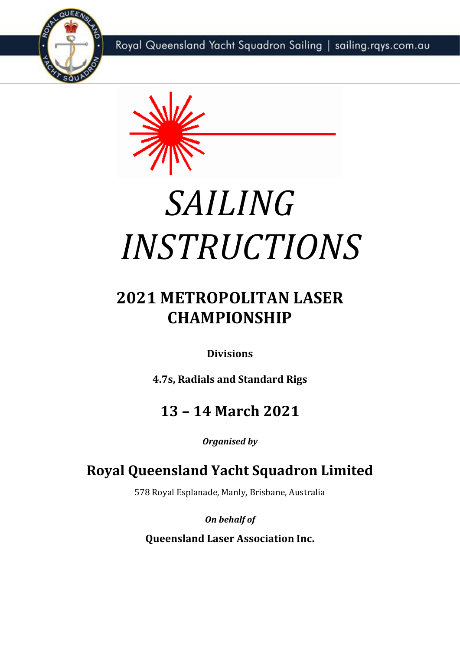Royal Queensland Yacht Squadron Sailing | sailing.rqys.com.au





# *SAILING INSTRUCTIONS*

# **2021 METROPOLITAN LASER CHAMPIONSHIP**

**Divisions**

**4.7s, Radials and Standard Rigs**

# **13 – 14 March 2021**

*Organised by*

# **Royal Queensland Yacht Squadron Limited**

578 Royal Esplanade, Manly, Brisbane, Australia

*On behalf of*

**Queensland Laser Association Inc.**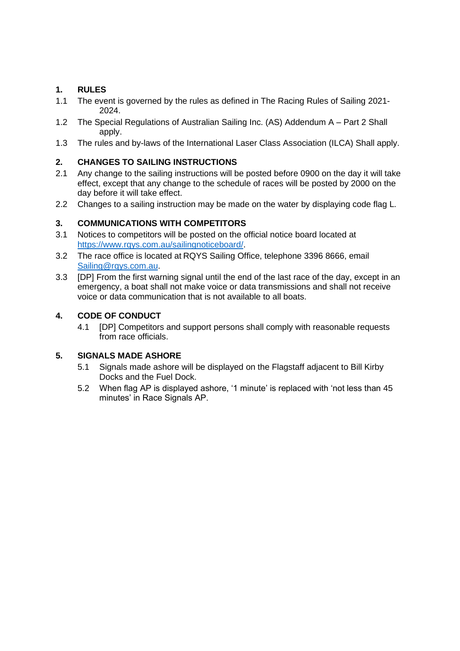## **1. RULES**

- 1.1 The event is governed by the rules as defined in The Racing Rules of Sailing 2021- 2024.
- 1.2 The Special Regulations of Australian Sailing Inc. (AS) Addendum A Part 2 Shall apply.
- 1.3 The rules and by-laws of the International Laser Class Association (ILCA) Shall apply.

## **2. CHANGES TO SAILING INSTRUCTIONS**

- 2.1 Any change to the sailing instructions will be posted before 0900 on the day it will take effect, except that any change to the schedule of races will be posted by 2000 on the day before it will take effect.
- 2.2 Changes to a sailing instruction may be made on the water by displaying code flag L.

#### **3. COMMUNICATIONS WITH COMPETITORS**

- 3.1 Notices to competitors will be posted on the official notice board located at [https://www.rqys.com.au/sailingnoticeboard/.](https://www.rqys.com.au/sailingnoticeboard/)
- 3.2 The race office is located at RQYS Sailing Office, telephone 3396 8666, email [Sailing@rqys.com.au.](mailto:Sailing@rqys.com.au)
- 3.3 [DP] From the first warning signal until the end of the last race of the day, except in an emergency, a boat shall not make voice or data transmissions and shall not receive voice or data communication that is not available to all boats.

#### **4. CODE OF CONDUCT**

4.1 [DP] Competitors and support persons shall comply with reasonable requests from race officials.

#### **5. SIGNALS MADE ASHORE**

- 5.1 Signals made ashore will be displayed on the Flagstaff adjacent to Bill Kirby Docks and the Fuel Dock.
- 5.2 When flag AP is displayed ashore, '1 minute' is replaced with 'not less than 45 minutes' in Race Signals AP.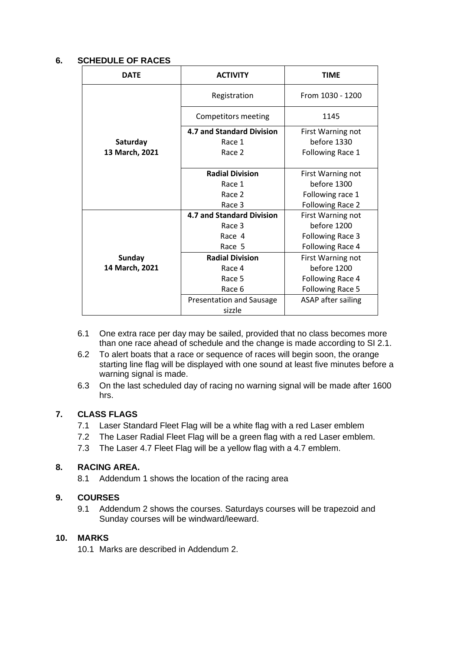#### **6. SCHEDULE OF RACES**

| <b>DATE</b>    | <b>ACTIVITY</b>                  | <b>TIME</b>               |
|----------------|----------------------------------|---------------------------|
|                | Registration                     | From 1030 - 1200          |
|                | Competitors meeting              | 1145                      |
|                | <b>4.7 and Standard Division</b> | First Warning not         |
| Saturday       | Race 1                           | before 1330               |
| 13 March, 2021 | Race 2                           | Following Race 1          |
|                |                                  |                           |
|                | <b>Radial Division</b>           | First Warning not         |
|                | Race 1                           | before 1300               |
|                | Race 2                           | Following race 1          |
|                | Race 3                           | Following Race 2          |
|                | <b>4.7 and Standard Division</b> | First Warning not         |
|                | Race 3                           | before 1200               |
|                | Race 4                           | Following Race 3          |
|                | Race 5                           | Following Race 4          |
| <b>Sunday</b>  | <b>Radial Division</b>           | First Warning not         |
| 14 March, 2021 | Race 4                           | before 1200               |
|                | Race 5                           | Following Race 4          |
|                | Race 6                           | Following Race 5          |
|                | Presentation and Sausage         | <b>ASAP</b> after sailing |
|                | sizzle                           |                           |

- 6.1 One extra race per day may be sailed, provided that no class becomes more than one race ahead of schedule and the change is made according to SI 2.1.
- 6.2 To alert boats that a race or sequence of races will begin soon, the orange starting line flag will be displayed with one sound at least five minutes before a warning signal is made.
- 6.3 On the last scheduled day of racing no warning signal will be made after 1600 hrs.

# **7. CLASS FLAGS**

- 7.1 Laser Standard Fleet Flag will be a white flag with a red Laser emblem
- 7.2 The Laser Radial Fleet Flag will be a green flag with a red Laser emblem.
- 7.3 The Laser 4.7 Fleet Flag will be a yellow flag with a 4.7 emblem.

## **8. RACING AREA.**

8.1 Addendum 1 shows the location of the racing area

#### **9. COURSES**

9.1 Addendum 2 shows the courses. Saturdays courses will be trapezoid and Sunday courses will be windward/leeward.

#### **10. MARKS**

10.1 Marks are described in Addendum 2.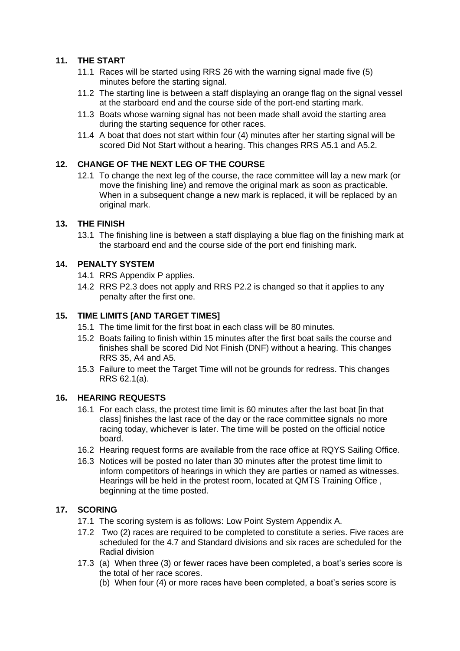## **11. THE START**

- 11.1 Races will be started using RRS 26 with the warning signal made five (5) minutes before the starting signal.
- 11.2 The starting line is between a staff displaying an orange flag on the signal vessel at the starboard end and the course side of the port-end starting mark.
- 11.3 Boats whose warning signal has not been made shall avoid the starting area during the starting sequence for other races.
- 11.4 A boat that does not start within four (4) minutes after her starting signal will be scored Did Not Start without a hearing. This changes RRS A5.1 and A5.2.

#### **12. CHANGE OF THE NEXT LEG OF THE COURSE**

12.1 To change the next leg of the course, the race committee will lay a new mark (or move the finishing line) and remove the original mark as soon as practicable. When in a subsequent change a new mark is replaced, it will be replaced by an original mark.

#### **13. THE FINISH**

13.1 The finishing line is between a staff displaying a blue flag on the finishing mark at the starboard end and the course side of the port end finishing mark.

#### **14. PENALTY SYSTEM**

- 14.1 RRS Appendix P applies.
- 14.2 RRS P2.3 does not apply and RRS P2.2 is changed so that it applies to any penalty after the first one.

#### **15. TIME LIMITS [AND TARGET TIMES]**

- 15.1 The time limit for the first boat in each class will be 80 minutes.
- 15.2 Boats failing to finish within 15 minutes after the first boat sails the course and finishes shall be scored Did Not Finish (DNF) without a hearing. This changes RRS 35, A4 and A5.
- 15.3 Failure to meet the Target Time will not be grounds for redress. This changes RRS 62.1(a).

#### **16. HEARING REQUESTS**

- 16.1 For each class, the protest time limit is 60 minutes after the last boat [in that class] finishes the last race of the day or the race committee signals no more racing today, whichever is later. The time will be posted on the official notice board.
- 16.2 Hearing request forms are available from the race office at RQYS Sailing Office.
- 16.3 Notices will be posted no later than 30 minutes after the protest time limit to inform competitors of hearings in which they are parties or named as witnesses. Hearings will be held in the protest room, located at QMTS Training Office , beginning at the time posted.

#### **17. SCORING**

- 17.1 The scoring system is as follows: Low Point System Appendix A.
- 17.2 Two (2) races are required to be completed to constitute a series. Five races are scheduled for the 4.7 and Standard divisions and six races are scheduled for the Radial division
- 17.3 (a) When three (3) or fewer races have been completed, a boat's series score is the total of her race scores.
	- (b) When four (4) or more races have been completed, a boat's series score is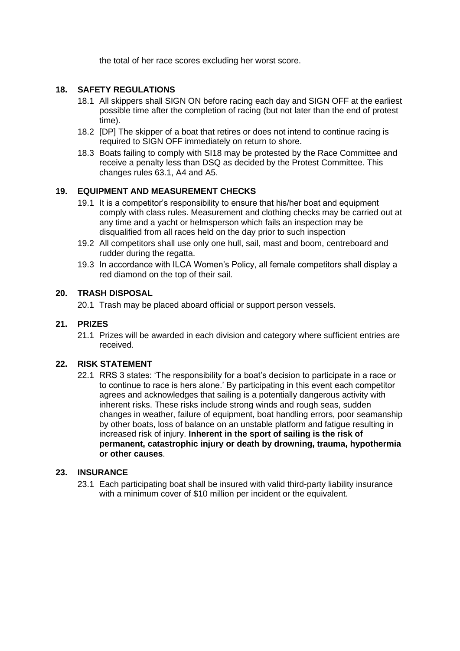the total of her race scores excluding her worst score.

#### **18. SAFETY REGULATIONS**

- 18.1 All skippers shall SIGN ON before racing each day and SIGN OFF at the earliest possible time after the completion of racing (but not later than the end of protest time).
- 18.2 [DP] The skipper of a boat that retires or does not intend to continue racing is required to SIGN OFF immediately on return to shore.
- 18.3 Boats failing to comply with SI18 may be protested by the Race Committee and receive a penalty less than DSQ as decided by the Protest Committee. This changes rules 63.1, A4 and A5.

#### **19. EQUIPMENT AND MEASUREMENT CHECKS**

- 19.1 It is a competitor's responsibility to ensure that his/her boat and equipment comply with class rules. Measurement and clothing checks may be carried out at any time and a yacht or helmsperson which fails an inspection may be disqualified from all races held on the day prior to such inspection
- 19.2 All competitors shall use only one hull, sail, mast and boom, centreboard and rudder during the regatta.
- 19.3 In accordance with ILCA Women's Policy, all female competitors shall display a red diamond on the top of their sail.

#### **20. TRASH DISPOSAL**

20.1 Trash may be placed aboard official or support person vessels.

#### **21. PRIZES**

21.1 Prizes will be awarded in each division and category where sufficient entries are received.

#### **22. RISK STATEMENT**

22.1 RRS 3 states: 'The responsibility for a boat's decision to participate in a race or to continue to race is hers alone.' By participating in this event each competitor agrees and acknowledges that sailing is a potentially dangerous activity with inherent risks. These risks include strong winds and rough seas, sudden changes in weather, failure of equipment, boat handling errors, poor seamanship by other boats, loss of balance on an unstable platform and fatigue resulting in increased risk of injury. **Inherent in the sport of sailing is the risk of permanent, catastrophic injury or death by drowning, trauma, hypothermia or other causes**.

#### **23. INSURANCE**

23.1 Each participating boat shall be insured with valid third-party liability insurance with a minimum cover of \$10 million per incident or the equivalent.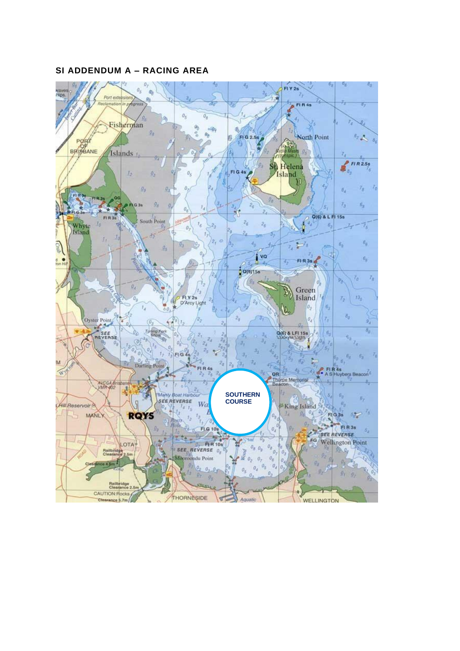#### **SI ADDENDUM A – RACING AREA**